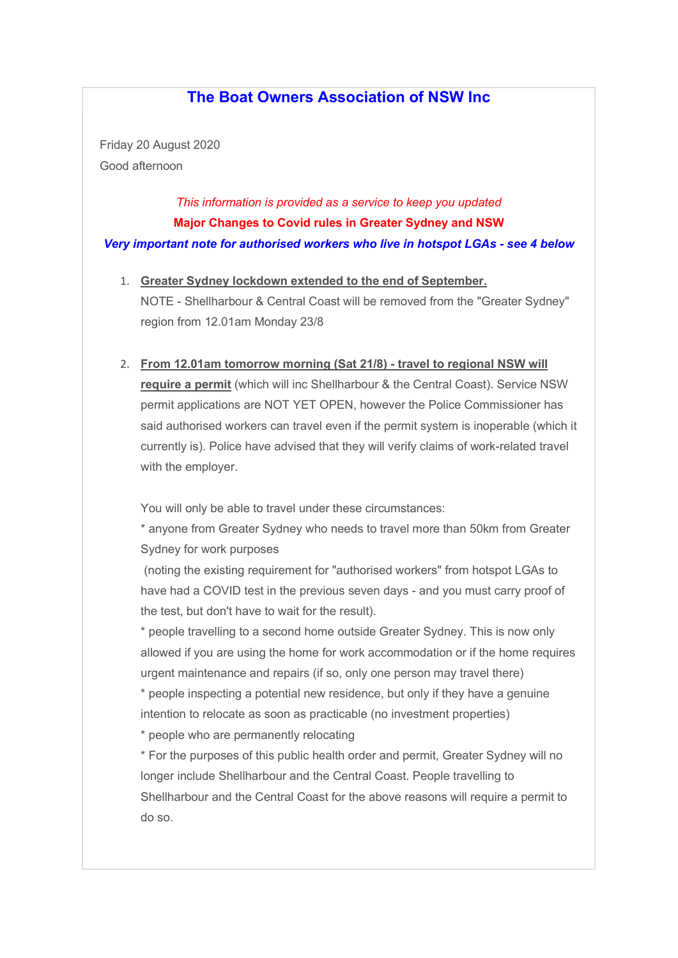## The Boat Owners Association of NSW Inc

Friday 20 August 2020 Good afternoon

# This information is provided as a service to keep you updated Major Changes to Covid rules in Greater Sydney and NSW Very important note for authorised workers who live in hotspot LGAs - see 4 below

- 1. Greater Sydney lockdown extended to the end of September. NOTE - Shellharbour & Central Coast will be removed from the "Greater Sydney" region from 12.01am Monday 23/8
- 2. From 12.01am tomorrow morning (Sat 21/8) travel to regional NSW will require a permit (which will inc Shellharbour & the Central Coast). Service NSW permit applications are NOT YET OPEN, however the Police Commissioner has said authorised workers can travel even if the permit system is inoperable (which it currently is). Police have advised that they will verify claims of work-related travel with the employer.

You will only be able to travel under these circumstances:

\* anyone from Greater Sydney who needs to travel more than 50km from Greater Sydney for work purposes

 (noting the existing requirement for "authorised workers" from hotspot LGAs to have had a COVID test in the previous seven days - and you must carry proof of the test, but don't have to wait for the result).

\* people travelling to a second home outside Greater Sydney. This is now only allowed if you are using the home for work accommodation or if the home requires urgent maintenance and repairs (if so, only one person may travel there)

\* people inspecting a potential new residence, but only if they have a genuine intention to relocate as soon as practicable (no investment properties)

\* people who are permanently relocating

\* For the purposes of this public health order and permit, Greater Sydney will no longer include Shellharbour and the Central Coast. People travelling to Shellharbour and the Central Coast for the above reasons will require a permit to do so.